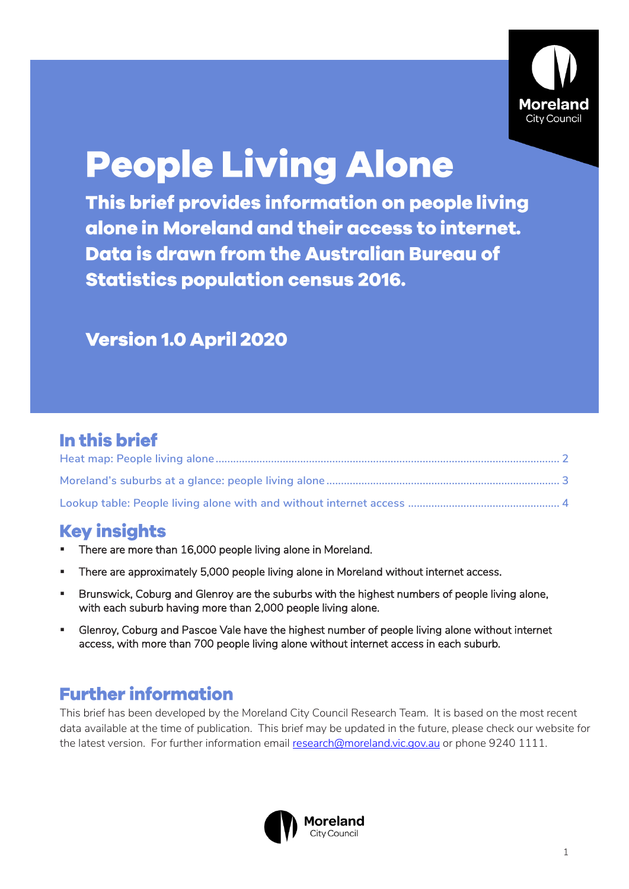

# **People Living Alone**

This brief provides information on people living alone in Moreland and their access to internet. **Data is drawn from the Australian Bureau of Statistics population census 2016.** 

**Version 1.0 April 2020** 

#### In this brief

## **Key insights**

- There are more than 16,000 people living alone in Moreland.
- There are approximately 5,000 people living alone in Moreland without internet access.
- **■** Brunswick, Coburg and Glenroy are the suburbs with the highest numbers of people living alone, with each suburb having more than 2,000 people living alone.
- Glenroy, Coburg and Pascoe Vale have the highest number of people living alone without internet access, with more than 700 people living alone without internet access in each suburb.

### **Further information**

This brief has been developed by the Moreland City Council Research Team. It is based on the most recent data available at the time of publication. This brief may be updated in the future, please check our website for the latest version. For further information email [research@moreland.vic.gov.au](mailto:research@moreland.vic.gov.au) or phone 9240 1111.

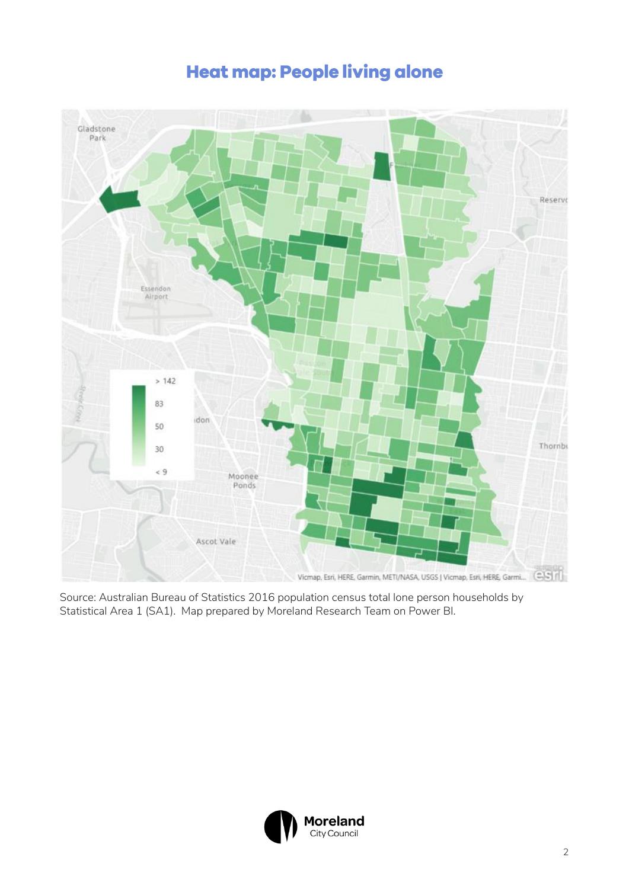# **Heat map: People living alone**

<span id="page-1-0"></span>

Source: Australian Bureau of Statistics 2016 population census total lone person households by Statistical Area 1 (SA1). Map prepared by Moreland Research Team on Power BI.

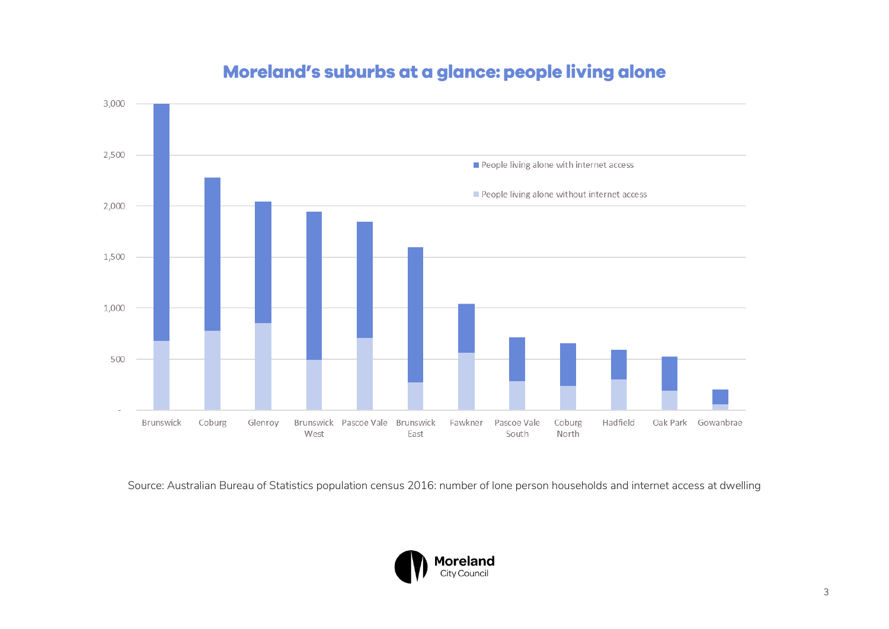

#### Moreland's suburbs at a glance: people living alone

<span id="page-2-0"></span>Source: Australian Bureau of Statistics population census 2016: number of lone person households and internet access at dwelling